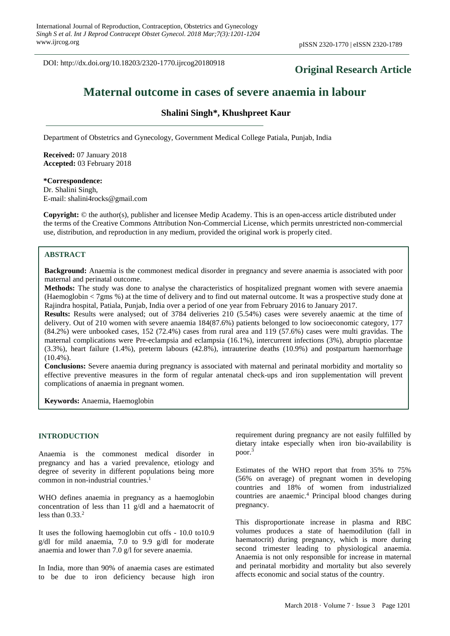DOI: http://dx.doi.org/10.18203/2320-1770.ijrcog20180918

## **Original Research Article**

# **Maternal outcome in cases of severe anaemia in labour**

## **Shalini Singh\*, Khushpreet Kaur**

Department of Obstetrics and Gynecology, Government Medical College Patiala, Punjab, India

**Received:** 07 January 2018 **Accepted:** 03 February 2018

**\*Correspondence:** Dr. Shalini Singh, E-mail: shalini4rocks@gmail.com

**Copyright:** © the author(s), publisher and licensee Medip Academy. This is an open-access article distributed under the terms of the Creative Commons Attribution Non-Commercial License, which permits unrestricted non-commercial use, distribution, and reproduction in any medium, provided the original work is properly cited.

## **ABSTRACT**

**Background:** Anaemia is the commonest medical disorder in pregnancy and severe anaemia is associated with poor maternal and perinatal outcome.

**Methods:** The study was done to analyse the characteristics of hospitalized pregnant women with severe anaemia (Haemoglobin < 7gms %) at the time of delivery and to find out maternal outcome. It was a prospective study done at Rajindra hospital, Patiala, Punjab, India over a period of one year from February 2016 to January 2017.

**Results:** Results were analysed; out of 3784 deliveries 210 (5.54%) cases were severely anaemic at the time of delivery. Out of 210 women with severe anaemia 184(87.6%) patients belonged to low socioeconomic category, 177 (84.2%) were unbooked cases, 152 (72.4%) cases from rural area and 119 (57.6%) cases were multi gravidas. The maternal complications were Pre-eclampsia and eclampsia (16.1%), intercurrent infections (3%), abruptio placentae (3.3%), heart failure (1.4%), preterm labours (42.8%), intrauterine deaths (10.9%) and postpartum haemorrhage  $(10.4\%)$ .

**Conclusions:** Severe anaemia during pregnancy is associated with maternal and perinatal morbidity and mortality so effective preventive measures in the form of regular antenatal check-ups and iron supplementation will prevent complications of anaemia in pregnant women.

**Keywords:** Anaemia, Haemoglobin

#### **INTRODUCTION**

Anaemia is the commonest medical disorder in pregnancy and has a varied prevalence, etiology and degree of severity in different populations being more common in non-industrial countries. 1

WHO defines anaemia in pregnancy as a haemoglobin concentration of less than 11 g/dl and a haematocrit of less than  $0.33<sup>2</sup>$ 

It uses the following haemoglobin cut offs - 10.0 to10.9 g/dl for mild anaemia, 7.0 to 9.9 g/dl for moderate anaemia and lower than 7.0 g/l for severe anaemia.

In India, more than 90% of anaemia cases are estimated to be due to iron deficiency because high iron requirement during pregnancy are not easily fulfilled by dietary intake especially when iron bio-availability is poor. 3

Estimates of the WHO report that from 35% to 75% (56% on average) of pregnant women in developing countries and 18% of women from industrialized countries are anaemic. <sup>4</sup> Principal blood changes during pregnancy.

This disproportionate increase in plasma and RBC volumes produces a state of haemodilution (fall in haematocrit) during pregnancy, which is more during second trimester leading to physiological anaemia. Anaemia is not only responsible for increase in maternal and perinatal morbidity and mortality but also severely affects economic and social status of the country.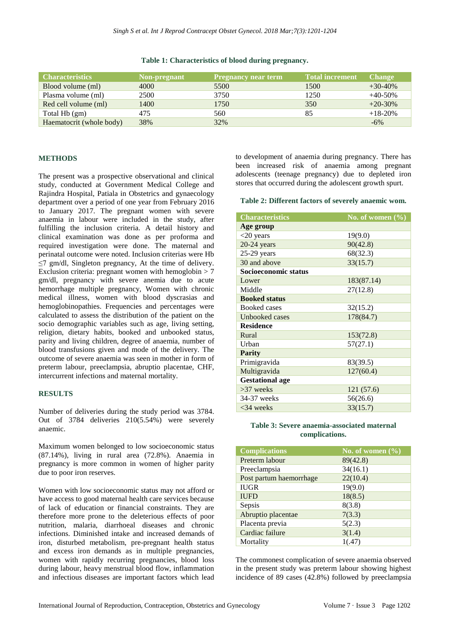| <b>Characteristics</b>   | Non-pregnant | <b>Pregnancy near term</b> | <b>Total increment</b> | <b>Change</b> |
|--------------------------|--------------|----------------------------|------------------------|---------------|
| Blood volume (ml)        | 4000         | 5500                       | 1500                   | $+30-40%$     |
| Plasma volume (ml)       | 2500         | 3750                       | 1250                   | $+40-50%$     |
| Red cell volume (ml)     | 1400         | 1750                       | 350                    | $+20-30\%$    |
| Total Hb (gm)            | 475          | 560                        | 85                     | $+18-20%$     |
| Haematocrit (whole body) | 38%          | 32%                        |                        | $-6\%$        |

#### **Table 1: Characteristics of blood during pregnancy.**

#### **METHODS**

The present was a prospective observational and clinical study, conducted at Government Medical College and Rajindra Hospital, Patiala in Obstetrics and gynaecology department over a period of one year from February 2016 to January 2017. The pregnant women with severe anaemia in labour were included in the study, after fulfilling the inclusion criteria. A detail history and clinical examination was done as per proforma and required investigation were done. The maternal and perinatal outcome were noted. Inclusion criterias were Hb  $\leq$ 7 gm/dl, Singleton pregnancy, At the time of delivery. Exclusion criteria: pregnant women with hemoglobin  $> 7$ gm/dl, pregnancy with severe anemia due to acute hemorrhage multiple pregnancy, Women with chronic medical illness, women with blood dyscrasias and hemoglobinopathies. Frequencies and percentages were calculated to assess the distribution of the patient on the socio demographic variables such as age, living setting, religion, dietary habits, booked and unbooked status, parity and living children, degree of anaemia, number of blood transfusions given and mode of the delivery. The outcome of severe anaemia was seen in mother in form of preterm labour, preeclampsia, abruptio placentae, CHF, intercurrent infections and maternal mortality.

#### **RESULTS**

Number of deliveries during the study period was 3784. Out of 3784 deliveries 210(5.54%) were severely anaemic.

Maximum women belonged to low socioeconomic status (87.14%), living in rural area (72.8%). Anaemia in pregnancy is more common in women of higher parity due to poor iron reserves.

Women with low socioeconomic status may not afford or have access to good maternal health care services because of lack of education or financial constraints. They are therefore more prone to the deleterious effects of poor nutrition, malaria, diarrhoeal diseases and chronic infections. Diminished intake and increased demands of iron, disturbed metabolism, pre-pregnant health status and excess iron demands as in multiple pregnancies, women with rapidly recurring pregnancies, blood loss during labour, heavy menstrual blood flow, inflammation and infectious diseases are important factors which lead to development of anaemia during pregnancy. There has been increased risk of anaemia among pregnant adolescents (teenage pregnancy) due to depleted iron stores that occurred during the adolescent growth spurt.

#### **Table 2: Different factors of severely anaemic wom.**

| <b>Characteristics</b> | No. of women $(\sqrt[6]{\overline{6}})$ |  |  |  |
|------------------------|-----------------------------------------|--|--|--|
| Age group              |                                         |  |  |  |
| $<$ 20 years           | 19(9.0)                                 |  |  |  |
| $20-24$ years          | 90(42.8)                                |  |  |  |
| $25-29$ years          | 68(32.3)                                |  |  |  |
| 30 and above           | 33(15.7)                                |  |  |  |
| Socioeconomic status   |                                         |  |  |  |
| Lower                  | 183(87.14)                              |  |  |  |
| Middle                 | 27(12.8)                                |  |  |  |
| <b>Booked status</b>   |                                         |  |  |  |
| <b>Booked cases</b>    | 32(15.2)                                |  |  |  |
| Unbooked cases         | 178(84.7)                               |  |  |  |
| <b>Residence</b>       |                                         |  |  |  |
| Rural                  | 153(72.8)                               |  |  |  |
| Urban                  | 57(27.1)                                |  |  |  |
| <b>Parity</b>          |                                         |  |  |  |
| Primigravida           | 83(39.5)                                |  |  |  |
| Multigravida           | 127(60.4)                               |  |  |  |
| <b>Gestational age</b> |                                         |  |  |  |
| $>37$ weeks            | 121(57.6)                               |  |  |  |
| 34-37 weeks            | 56(26.6)                                |  |  |  |
| $<34$ weeks            | 33(15.7)                                |  |  |  |

#### **Table 3: Severe anaemia-associated maternal complications.**

| <b>Complications</b>    | No. of women $(\% )$ |
|-------------------------|----------------------|
| Preterm labour          | 89(42.8)             |
| Preeclampsia            | 34(16.1)             |
| Post partum haemorrhage | 22(10.4)             |
| <b>IUGR</b>             | 19(9.0)              |
| <b>IUFD</b>             | 18(8.5)              |
| Sepsis                  | 8(3.8)               |
| Abruptio placentae      | 7(3.3)               |
| Placenta previa         | 5(2.3)               |
| Cardiac failure         | 3(1.4)               |
| Mortality               | 1(.47)               |

The commonest complication of severe anaemia observed in the present study was preterm labour showing highest incidence of 89 cases (42.8%) followed by preeclampsia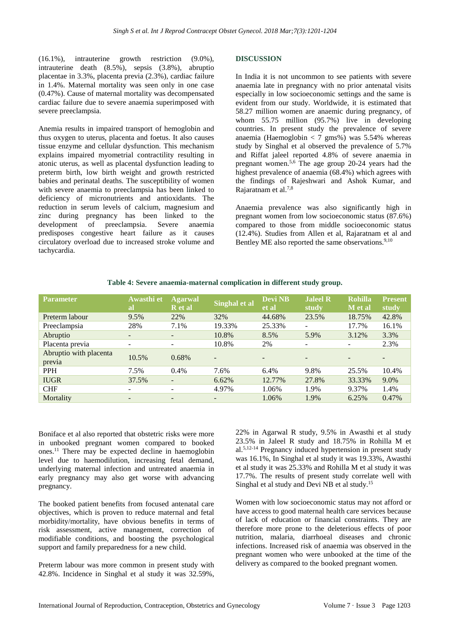(16.1%), intrauterine growth restriction (9.0%), intrauterine death (8.5%), sepsis (3.8%), abruptio placentae in 3.3%, placenta previa (2.3%), cardiac failure in 1.4%. Maternal mortality was seen only in one case (0.47%). Cause of maternal mortality was decompensated cardiac failure due to severe anaemia superimposed with severe preeclampsia.

Anemia results in impaired transport of hemoglobin and thus oxygen to uterus, placenta and foetus. It also causes tissue enzyme and cellular dysfunction. This mechanism explains impaired myometrial contractility resulting in atonic uterus, as well as placental dysfunction leading to preterm birth, low birth weight and growth restricted babies and perinatal deaths. The susceptibility of women with severe anaemia to preeclampsia has been linked to deficiency of micronutrients and antioxidants. The reduction in serum levels of calcium, magnesium and zinc during pregnancy has been linked to the development of preeclampsia. Severe anaemia predisposes congestive heart failure as it causes circulatory overload due to increased stroke volume and tachycardia.

## **DISCUSSION**

In India it is not uncommon to see patients with severe anaemia late in pregnancy with no prior antenatal visits especially in low socioeconomic settings and the same is evident from our study. Worldwide, it is estimated that 58.27 million women are anaemic during pregnancy, of whom 55.75 million (95.7%) live in developing countries. In present study the prevalence of severe anaemia (Haemoglobin  $\langle 7 \text{ gms}\% \rangle$ ) was 5.54% whereas study by Singhal et al observed the prevalence of 5.7% and Riffat jaleel reported 4.8% of severe anaemia in pregnant women. 5,6 The age group 20-24 years had the highest prevalence of anaemia (68.4%) which agrees with the findings of Rajeshwari and Ashok Kumar, and Rajaratnam et al. $7,8$ 

Anaemia prevalence was also significantly high in pregnant women from low socioeconomic status (87.6%) compared to those from middle socioeconomic status (12.4%). Studies from Allen et al, Rajaratnam et al and Bentley ME also reported the same observations. $9,10$ 

| <b>Parameter</b>                 | Awasthi et<br>al         | <b>Agarwal</b><br>R et al | Singhal et al            | <b>Devi NB</b><br>et al | <b>Jaleel R</b><br>study | <b>Rohilla</b><br>M et al | <b>Present</b><br>study |
|----------------------------------|--------------------------|---------------------------|--------------------------|-------------------------|--------------------------|---------------------------|-------------------------|
| Preterm labour                   | 9.5%                     | 22%                       | 32%                      | 44.68%                  | 23.5%                    | 18.75%                    | 42.8%                   |
| Preeclampsia                     | 28%                      | 7.1%                      | 19.33%                   | 25.33%                  | ۰                        | 17.7%                     | 16.1%                   |
| Abruptio                         | $\overline{\phantom{0}}$ | $\overline{\phantom{a}}$  | 10.8%                    | 8.5%                    | 5.9%                     | 3.12%                     | 3.3%                    |
| Placenta previa                  |                          | ۰                         | 10.8%                    | 2%                      | ۰                        | $\overline{\phantom{a}}$  | 2.3%                    |
| Abruptio with placenta<br>previa | 10.5%                    | 0.68%                     | $\overline{\phantom{a}}$ |                         | $\overline{\phantom{0}}$ |                           |                         |
| <b>PPH</b>                       | 7.5%                     | $0.4\%$                   | 7.6%                     | 6.4%                    | 9.8%                     | 25.5%                     | 10.4%                   |
| <b>IUGR</b>                      | 37.5%                    | $\overline{\phantom{a}}$  | 6.62%                    | 12.77%                  | 27.8%                    | 33.33%                    | 9.0%                    |
| <b>CHF</b>                       | $\overline{\phantom{0}}$ | -                         | 4.97%                    | 1.06%                   | 1.9%                     | 9.37%                     | 1.4%                    |
| Mortality                        |                          | ٠                         |                          | 1.06%                   | 1.9%                     | 6.25%                     | 0.47%                   |

#### **Table 4: Severe anaemia-maternal complication in different study group.**

Boniface et al also reported that obstetric risks were more in unbooked pregnant women compared to booked ones.<sup>11</sup> There may be expected decline in haemoglobin level due to haemodilution, increasing fetal demand, underlying maternal infection and untreated anaemia in early pregnancy may also get worse with advancing pregnancy.

The booked patient benefits from focused antenatal care objectives, which is proven to reduce maternal and fetal morbidity/mortality, have obvious benefits in terms of risk assessment, active management, correction of modifiable conditions, and boosting the psychological support and family preparedness for a new child.

Preterm labour was more common in present study with 42.8%. Incidence in Singhal et al study it was 32.59%, 22% in Agarwal R study, 9.5% in Awasthi et al study 23.5% in Jaleel R study and 18.75% in Rohilla M et al.5,12-14 Pregnancy induced hypertension in present study was 16.1%, In Singhal et al study it was 19.33%, Awasthi et al study it was 25.33% and Rohilla M et al study it was 17.7%. The results of present study correlate well with Singhal et al study and Devi NB et al study. 15

Women with low socioeconomic status may not afford or have access to good maternal health care services because of lack of education or financial constraints. They are therefore more prone to the deleterious effects of poor nutrition, malaria, diarrhoeal diseases and chronic infections. Increased risk of anaemia was observed in the pregnant women who were unbooked at the time of the delivery as compared to the booked pregnant women.